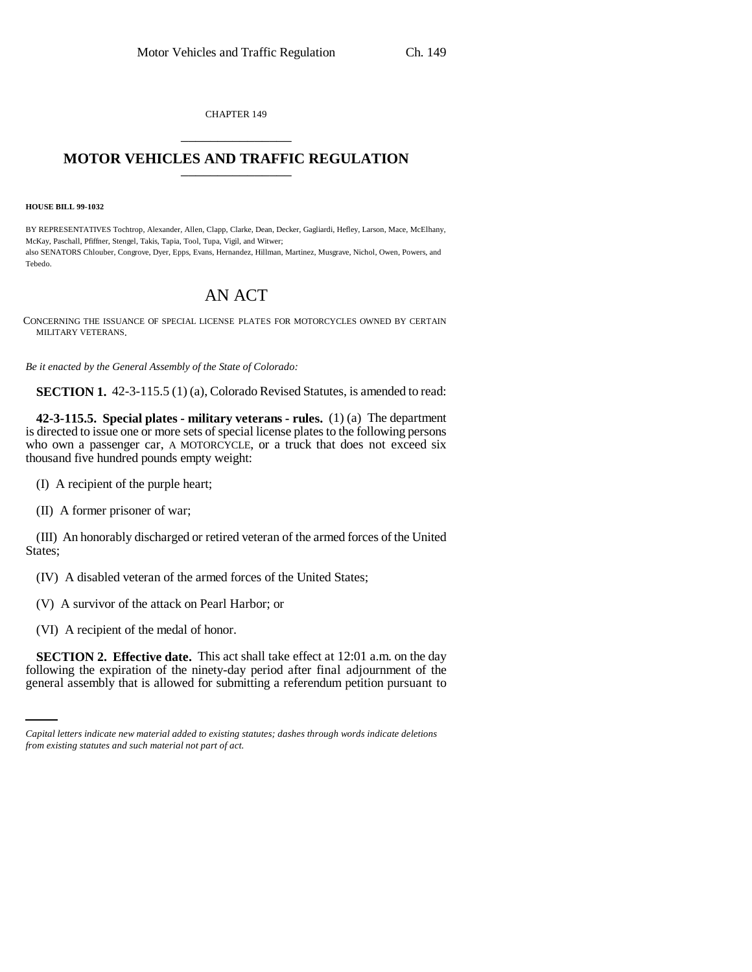CHAPTER 149 \_\_\_\_\_\_\_\_\_\_\_\_\_\_\_

## **MOTOR VEHICLES AND TRAFFIC REGULATION** \_\_\_\_\_\_\_\_\_\_\_\_\_\_\_

**HOUSE BILL 99-1032**

BY REPRESENTATIVES Tochtrop, Alexander, Allen, Clapp, Clarke, Dean, Decker, Gagliardi, Hefley, Larson, Mace, McElhany, McKay, Paschall, Pfiffner, Stengel, Takis, Tapia, Tool, Tupa, Vigil, and Witwer; also SENATORS Chlouber, Congrove, Dyer, Epps, Evans, Hernandez, Hillman, Martinez, Musgrave, Nichol, Owen, Powers, and Tebedo.

## AN ACT

CONCERNING THE ISSUANCE OF SPECIAL LICENSE PLATES FOR MOTORCYCLES OWNED BY CERTAIN MILITARY VETERANS.

*Be it enacted by the General Assembly of the State of Colorado:*

**SECTION 1.** 42-3-115.5 (1) (a), Colorado Revised Statutes, is amended to read:

**42-3-115.5. Special plates - military veterans - rules.** (1) (a) The department is directed to issue one or more sets of special license plates to the following persons who own a passenger car, A MOTORCYCLE, or a truck that does not exceed six thousand five hundred pounds empty weight:

(I) A recipient of the purple heart;

(II) A former prisoner of war;

(III) An honorably discharged or retired veteran of the armed forces of the United States;

(IV) A disabled veteran of the armed forces of the United States;

(V) A survivor of the attack on Pearl Harbor; or

(VI) A recipient of the medal of honor.

 **SECTION 2. Effective date.** This act shall take effect at 12:01 a.m. on the day following the expiration of the ninety-day period after final adjournment of the general assembly that is allowed for submitting a referendum petition pursuant to

*Capital letters indicate new material added to existing statutes; dashes through words indicate deletions from existing statutes and such material not part of act.*